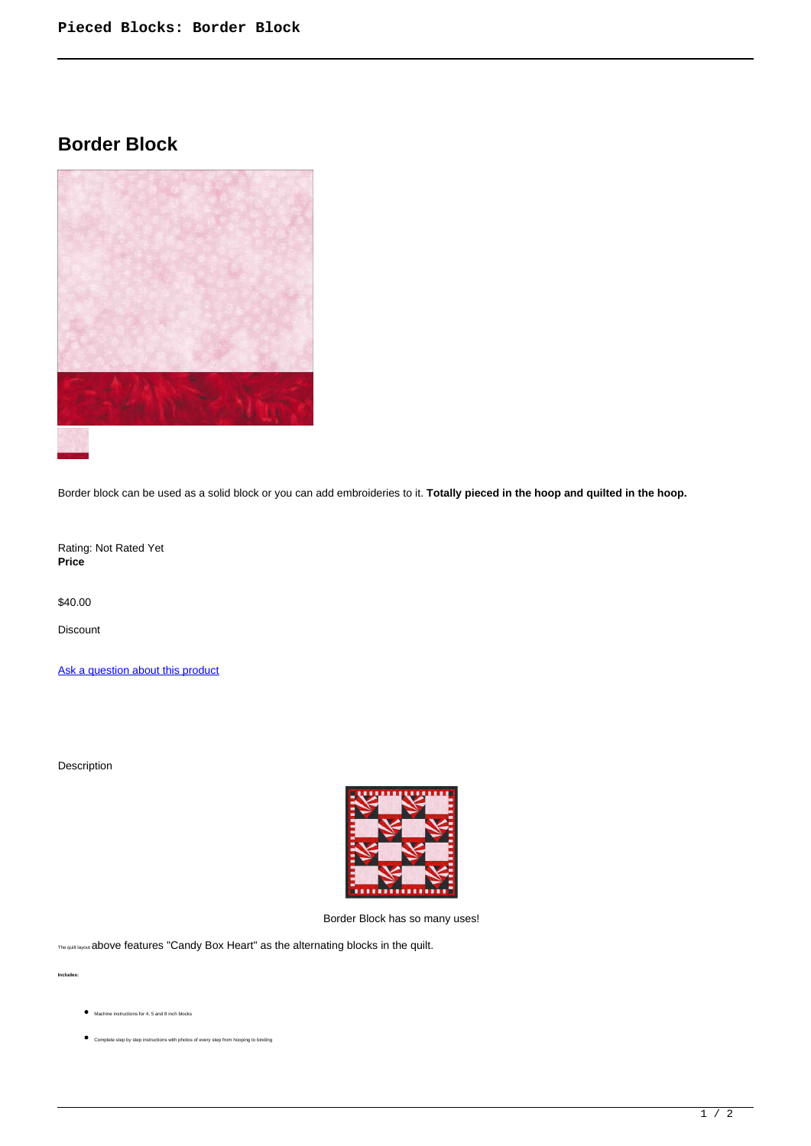## **Border Block**



Border block can be used as a solid block or you can add embroideries to it. **Totally pieced in the hoop and quilted in the hoop.**

Rating: Not Rated Yet **Price** 

\$40.00

Discount

[Ask a question about this product](https://www.queenofstitching.com/index.php?option=com_virtuemart&view=productdetails&task=askquestion&virtuemart_product_id=163&virtuemart_category_id=12&tmpl=component)

Description



Border Block has so many uses!

The quilt layout above features "Candy Box Heart" as the alternating blocks in the quilt.

**Includes:**

- Machine instructions for 4, 5 and 8 inch blocks
- Complete step by step instructions with photos of every step from hooping to binding